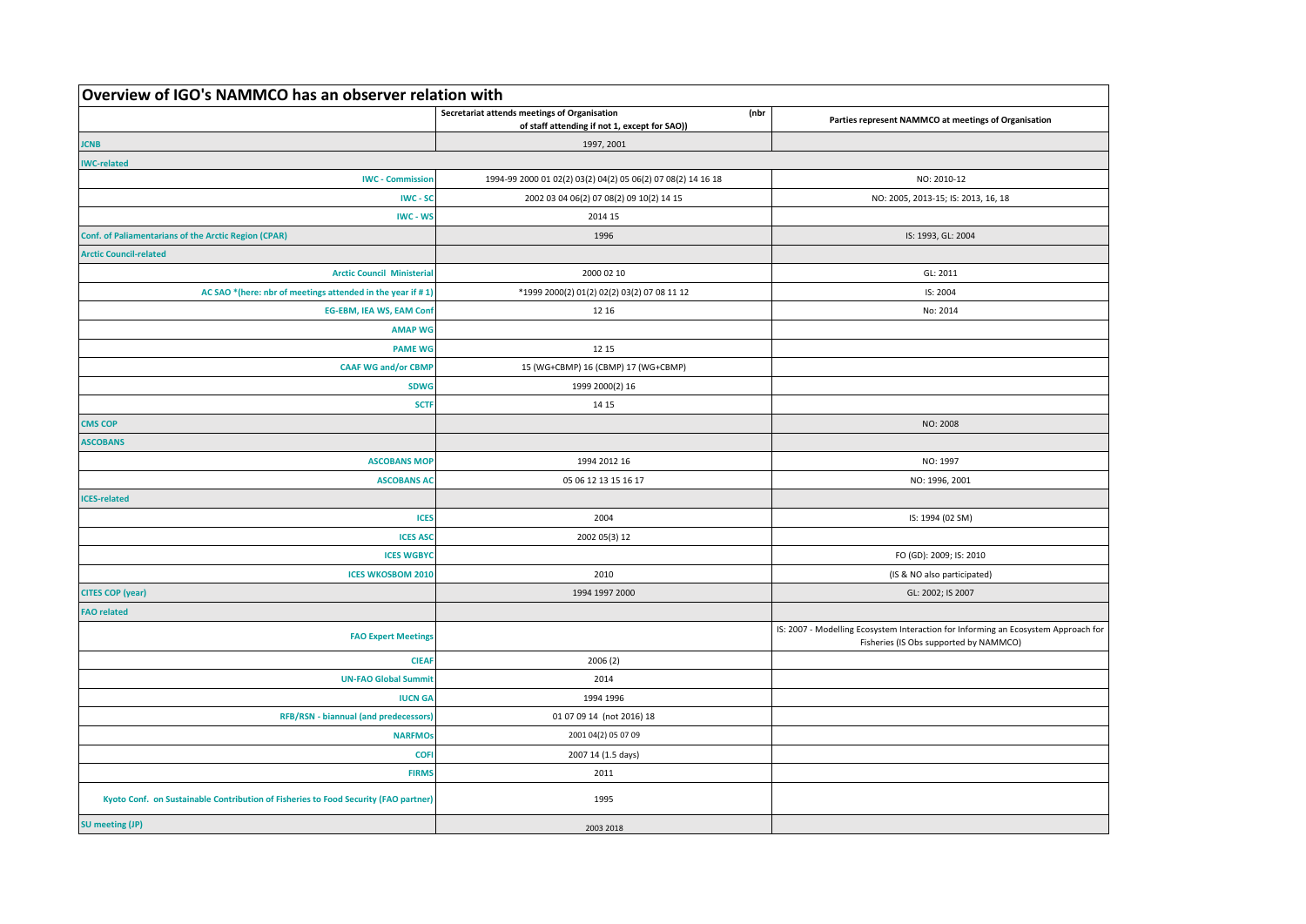| Overview of IGO's NAMMCO has an observer relation with                              |                                                                                                       |                                                                                                                              |
|-------------------------------------------------------------------------------------|-------------------------------------------------------------------------------------------------------|------------------------------------------------------------------------------------------------------------------------------|
|                                                                                     | Secretariat attends meetings of Organisation<br>(nbr<br>of staff attending if not 1, except for SAO)) | Parties represent NAMMCO at meetings of Organisation                                                                         |
| <b>JCNB</b>                                                                         | 1997, 2001                                                                                            |                                                                                                                              |
| <b>IWC-related</b>                                                                  |                                                                                                       |                                                                                                                              |
| <b>IWC - Commission</b>                                                             | 1994-99 2000 01 02(2) 03(2) 04(2) 05 06(2) 07 08(2) 14 16 18                                          | NO: 2010-12                                                                                                                  |
| <b>IWC - SC</b>                                                                     | 2002 03 04 06(2) 07 08(2) 09 10(2) 14 15                                                              | NO: 2005, 2013-15; IS: 2013, 16, 18                                                                                          |
| IWC - WS                                                                            | 2014 15                                                                                               |                                                                                                                              |
| Conf. of Paliamentarians of the Arctic Region (CPAR)                                | 1996                                                                                                  | IS: 1993, GL: 2004                                                                                                           |
| <b>Arctic Council-related</b>                                                       |                                                                                                       |                                                                                                                              |
| <b>Arctic Council Ministeria</b>                                                    | 2000 02 10                                                                                            | GL: 2011                                                                                                                     |
| AC SAO *(here: nbr of meetings attended in the year if #1)                          | *1999 2000(2) 01(2) 02(2) 03(2) 07 08 11 12                                                           | IS: 2004                                                                                                                     |
| <b>EG-EBM, IEA WS, EAM Conf</b>                                                     | 12 16                                                                                                 | No: 2014                                                                                                                     |
| <b>AMAP WG</b>                                                                      |                                                                                                       |                                                                                                                              |
| <b>PAME WG</b>                                                                      | 12 15                                                                                                 |                                                                                                                              |
| <b>CAAF WG and/or CBMP</b>                                                          | 15 (WG+CBMP) 16 (CBMP) 17 (WG+CBMP)                                                                   |                                                                                                                              |
| <b>SDWG</b>                                                                         | 1999 2000(2) 16                                                                                       |                                                                                                                              |
| <b>SCTF</b>                                                                         | 14 15                                                                                                 |                                                                                                                              |
| <b>CMS COP</b>                                                                      |                                                                                                       | NO: 2008                                                                                                                     |
| <b>ASCOBANS</b>                                                                     |                                                                                                       |                                                                                                                              |
| <b>ASCOBANS MOP</b>                                                                 | 1994 2012 16                                                                                          | NO: 1997                                                                                                                     |
| <b>ASCOBANS AC</b>                                                                  | 05 06 12 13 15 16 17                                                                                  | NO: 1996, 2001                                                                                                               |
| <b>CES-related</b>                                                                  |                                                                                                       |                                                                                                                              |
| <b>ICES</b>                                                                         | 2004                                                                                                  | IS: 1994 (02 SM)                                                                                                             |
| <b>ICES ASC</b>                                                                     | 2002 05(3) 12                                                                                         |                                                                                                                              |
| <b>ICES WGBYC</b>                                                                   |                                                                                                       | FO (GD): 2009; IS: 2010                                                                                                      |
| <b>ICES WKOSBOM 2010</b>                                                            | 2010                                                                                                  | (IS & NO also participated)                                                                                                  |
| <b>CITES COP (year)</b>                                                             | 1994 1997 2000                                                                                        | GL: 2002; IS 2007                                                                                                            |
| <b>FAO related</b>                                                                  |                                                                                                       |                                                                                                                              |
| <b>FAO Expert Meetings</b>                                                          |                                                                                                       | IS: 2007 - Modelling Ecosystem Interaction for Informing an Ecosystem Approach for<br>Fisheries (IS Obs supported by NAMMCO) |
| <b>CIEAR</b>                                                                        | 2006(2)                                                                                               |                                                                                                                              |
| <b>UN-FAO Global Summit</b>                                                         | 2014                                                                                                  |                                                                                                                              |
| <b>IUCN GA</b>                                                                      | 1994 1996                                                                                             |                                                                                                                              |
| RFB/RSN - biannual (and predecessors)                                               | 01 07 09 14 (not 2016) 18                                                                             |                                                                                                                              |
| <b>NARFMOS</b>                                                                      | 2001 04(2) 05 07 09                                                                                   |                                                                                                                              |
| <b>COFI</b>                                                                         | 2007 14 (1.5 days)                                                                                    |                                                                                                                              |
| <b>FIRMS</b>                                                                        | 2011                                                                                                  |                                                                                                                              |
| Kyoto Conf. on Sustainable Contribution of Fisheries to Food Security (FAO partner) | 1995                                                                                                  |                                                                                                                              |
| <b>SU</b> meeting (JP)                                                              | 2003 2018                                                                                             |                                                                                                                              |